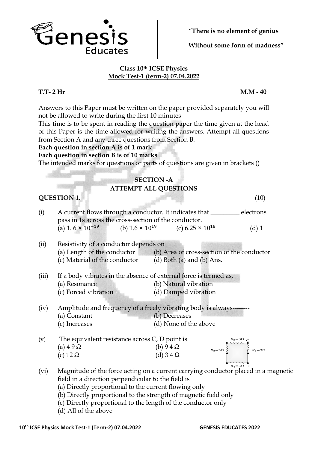

**"There is no element of genius**

**Without some form of madness"**

# **Class 10th ICSE Physics Mock Test-1 (term-2) 07.04.2022**

**T.T- 2 Hr M.M - 40**

Answers to this Paper must be written on the paper provided separately you will not be allowed to write during the first 10 minutes

This time is to be spent in reading the question paper the time given at the head of this Paper is the time allowed for writing the answers. Attempt all questions from Section A and any three questions from Section B.

**Each question in section A is of 1 mark** 

# **Each question in section B is of 10 marks**

The intended marks for questions or parts of questions are given in brackets ()

# **SECTION -A**

# **ATTEMPT ALL QUESTIONS**

# **QUESTION 1.** (10)

- (i) A current flows through a conductor. It indicates that \_\_\_\_\_\_\_\_\_ electrons pass in 1s across the cross-section of the conductor. (a) 1.  $6 \times 10^{-19}$ (b)  $1.6 \times 10^{19}$ (c)  $6.25 \times 10^{18}$ (d) 1
- (ii) Resistivity of a conductor depends on (a) Length of the conductor (b) Area of cross-section of the conductor (c) Material of the conductor  $\qquad$  (d) Both (a) and (b) Ans.
- (iii) If a body vibrates in the absence of external force is termed as, (a) Resonance (b) Natural vibration (c) Forced vibration (d) Damped vibration
- $(iv)$  Amplitude and frequency of a freely vibrating body is always---(a) Constant (b) Decreases (c) Increases (d) None of the above



- (vi) Magnitude of the force acting on a current carrying conductor placed in a magnetic field in a direction perpendicular to the field is
	- (a) Directly proportional to the current flowing only
	- (b) Directly proportional to the strength of magnetic field only
	- (c) Directly proportional to the length of the conductor only
	- (d) All of the above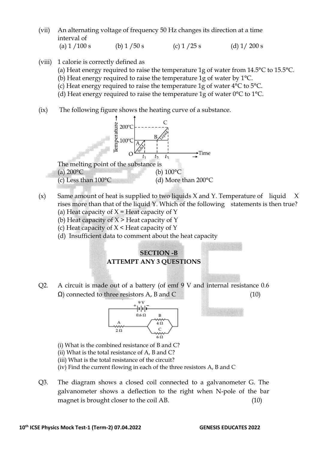- (vii) An alternating voltage of frequency 50 Hz changes its direction at a time interval of
	- (a)  $1 / 100$  s (b)  $1 / 50$  s (c)  $1 / 25$  s (d)  $1 / 200$  s
- (viii) 1 calorie is correctly defined as
	- (a) Heat energy required to raise the temperature 1g of water from 14.5°C to 15.5°C.
	- (b) Heat energy required to raise the temperature 1g of water by 1°C.
	- (c) Heat energy required to raise the temperature 1g of water 4°C to 5°C.
	- (d) Heat energy required to raise the temperature 1g of water 0°C to 1°C.
- (ix) The following figure shows the heating curve of a substance.



- (c) Less than  $100^{\circ}$ C (d) More than  $200^{\circ}$ C
- (x) Same amount of heat is supplied to two liquids  $X$  and  $Y$ . Temperature of liquid  $X$ rises more than that of the liquid Y. Which of the following statements is then true? (a) Heat capacity of  $X =$  Heat capacity of Y
	- (b) Heat capacity of  $X >$  Heat capacity of Y
	- (c) Heat capacity of  $X \leq H$ eat capacity of Y
	- (d) Insufficient data to comment about the heat capacity

# **SECTION -B ATTEMPT ANY 3 QUESTIONS**

Q2. A circuit is made out of a battery (of emf 9 V and internal resistance 0.6  $Ω$ ) connected to three resistors A, B and C (10)



(i) What is the combined resistance of B and C?

- (ii) What is the total resistance of A, B and C?
- (iii) What is the total resistance of the circuit?
- (iv) Find the current flowing in each of the three resistors A, B and C
- Q3. The diagram shows a closed coil connected to a galvanometer G. The galvanometer shows a deflection to the right when N-pole of the bar magnet is brought closer to the coil AB. (10)